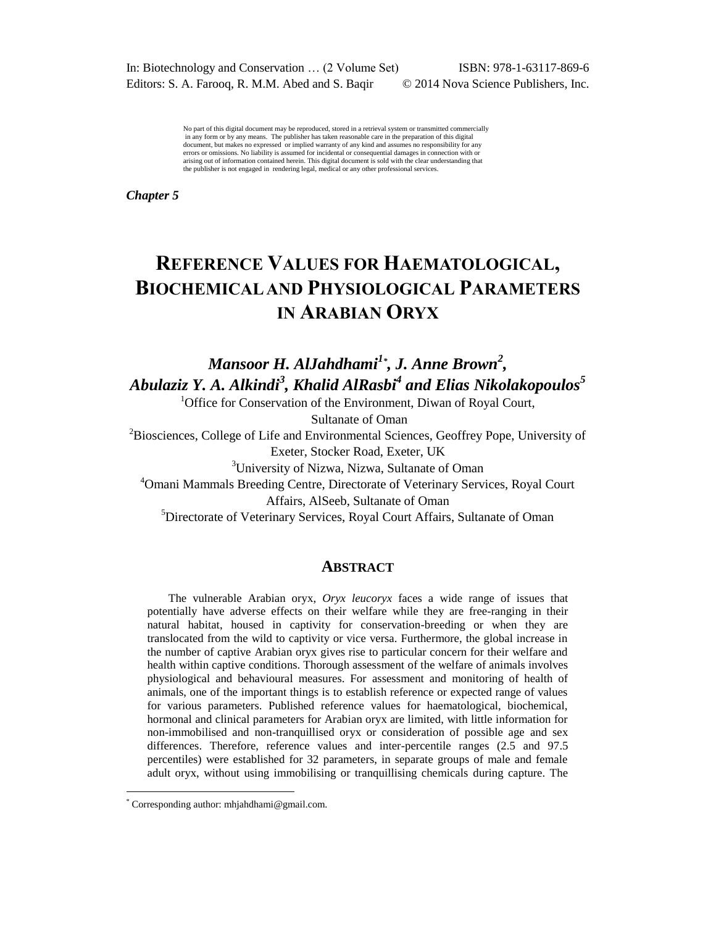In: Biotechnology and Conservation … (2 Volume Set) ISBN: 978-1-63117-869-6 Editors: S. A. Farooq, R. M.M. Abed and S. Baqir © 2014 Nova Science Publishers, Inc.

No part of this digital document may be reproduced, stored in a retrieval system or transmitted commercially in any form or by any means. The publisher has taken reasonable care in the preparation of this digital document, but makes no expressed or implied warranty of any kind and assumes no responsibility for any errors or omissions. No liability is assumed for incidental or consequential damages in connection with or arising out of information contained herein. This digital document is sold with the clear understanding that the publisher is not engaged in rendering legal, medical or any other professional services.

*Chapter 5* 

# **REFERENCE VALUES FOR HAEMATOLOGICAL, BIOCHEMICAL AND PHYSIOLOGICAL PARAMETERS IN ARABIAN ORYX**

*Mansoor H. AlJahdhami<sup>1</sup>\* , J. Anne Brown<sup>2</sup> , Abulaziz Y. A. Alkindi<sup>3</sup> , Khalid AlRasbi<sup>4</sup> and Elias Nikolakopoulos<sup>5</sup>*

> <sup>1</sup>Office for Conservation of the Environment, Diwan of Royal Court, Sultanate of Oman

<sup>2</sup>Biosciences, College of Life and Environmental Sciences, Geoffrey Pope, University of Exeter, Stocker Road, Exeter, UK

<sup>3</sup>University of Nizwa, Nizwa, Sultanate of Oman

<sup>4</sup>Omani Mammals Breeding Centre, Directorate of Veterinary Services, Royal Court Affairs, AlSeeb, Sultanate of Oman

<sup>5</sup>Directorate of Veterinary Services, Royal Court Affairs, Sultanate of Oman

#### **ABSTRACT**

The vulnerable Arabian oryx, *Oryx leucoryx* faces a wide range of issues that potentially have adverse effects on their welfare while they are free-ranging in their natural habitat, housed in captivity for conservation-breeding or when they are translocated from the wild to captivity or vice versa. Furthermore, the global increase in the number of captive Arabian oryx gives rise to particular concern for their welfare and health within captive conditions. Thorough assessment of the welfare of animals involves physiological and behavioural measures. For assessment and monitoring of health of animals, one of the important things is to establish reference or expected range of values for various parameters. Published reference values for haematological, biochemical, hormonal and clinical parameters for Arabian oryx are limited, with little information for non-immobilised and non-tranquillised oryx or consideration of possible age and sex differences. Therefore, reference values and inter-percentile ranges (2.5 and 97.5 percentiles) were established for 32 parameters, in separate groups of male and female adult oryx, without using immobilising or tranquillising chemicals during capture. The

 $\overline{a}$ 

<sup>\*</sup> Corresponding author: mhjahdhami@gmail.com.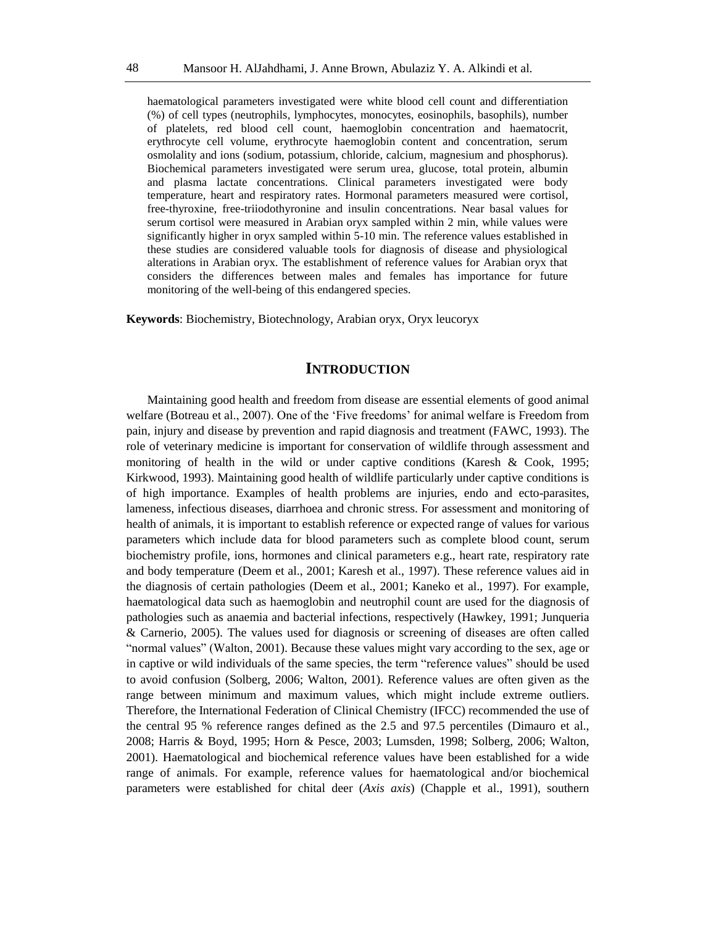haematological parameters investigated were white blood cell count and differentiation (%) of cell types (neutrophils, lymphocytes, monocytes, eosinophils, basophils), number of platelets, red blood cell count, haemoglobin concentration and haematocrit, erythrocyte cell volume, erythrocyte haemoglobin content and concentration, serum osmolality and ions (sodium, potassium, chloride, calcium, magnesium and phosphorus). Biochemical parameters investigated were serum urea, glucose, total protein, albumin and plasma lactate concentrations. Clinical parameters investigated were body temperature, heart and respiratory rates. Hormonal parameters measured were cortisol, free-thyroxine, free-triiodothyronine and insulin concentrations. Near basal values for serum cortisol were measured in Arabian oryx sampled within 2 min, while values were significantly higher in oryx sampled within 5-10 min. The reference values established in these studies are considered valuable tools for diagnosis of disease and physiological alterations in Arabian oryx. The establishment of reference values for Arabian oryx that considers the differences between males and females has importance for future monitoring of the well-being of this endangered species.

**Keywords**: Biochemistry, Biotechnology, Arabian oryx, Oryx leucoryx

## **INTRODUCTION**

Maintaining good health and freedom from disease are essential elements of good animal welfare (Botreau et al., 2007). One of the 'Five freedoms' for animal welfare is Freedom from pain, injury and disease by prevention and rapid diagnosis and treatment (FAWC, 1993). The role of veterinary medicine is important for conservation of wildlife through assessment and monitoring of health in the wild or under captive conditions (Karesh & Cook, 1995; Kirkwood, 1993). Maintaining good health of wildlife particularly under captive conditions is of high importance. Examples of health problems are injuries, endo and ecto-parasites, lameness, infectious diseases, diarrhoea and chronic stress. For assessment and monitoring of health of animals, it is important to establish reference or expected range of values for various parameters which include data for blood parameters such as complete blood count, serum biochemistry profile, ions, hormones and clinical parameters e.g., heart rate, respiratory rate and body temperature (Deem et al., 2001; Karesh et al., 1997). These reference values aid in the diagnosis of certain pathologies (Deem et al., 2001; Kaneko et al., 1997). For example, haematological data such as haemoglobin and neutrophil count are used for the diagnosis of pathologies such as anaemia and bacterial infections, respectively (Hawkey, 1991; Junqueria & Carnerio, 2005). The values used for diagnosis or screening of diseases are often called ―normal values‖ (Walton, 2001). Because these values might vary according to the sex, age or in captive or wild individuals of the same species, the term "reference values" should be used to avoid confusion (Solberg, 2006; Walton, 2001). Reference values are often given as the range between minimum and maximum values, which might include extreme outliers. Therefore, the International Federation of Clinical Chemistry (IFCC) recommended the use of the central 95 % reference ranges defined as the 2.5 and 97.5 percentiles (Dimauro et al., 2008; Harris & Boyd, 1995; Horn & Pesce, 2003; Lumsden, 1998; Solberg, 2006; Walton, 2001). Haematological and biochemical reference values have been established for a wide range of animals. For example, reference values for haematological and/or biochemical parameters were established for chital deer (*Axis axis*) (Chapple et al., 1991), southern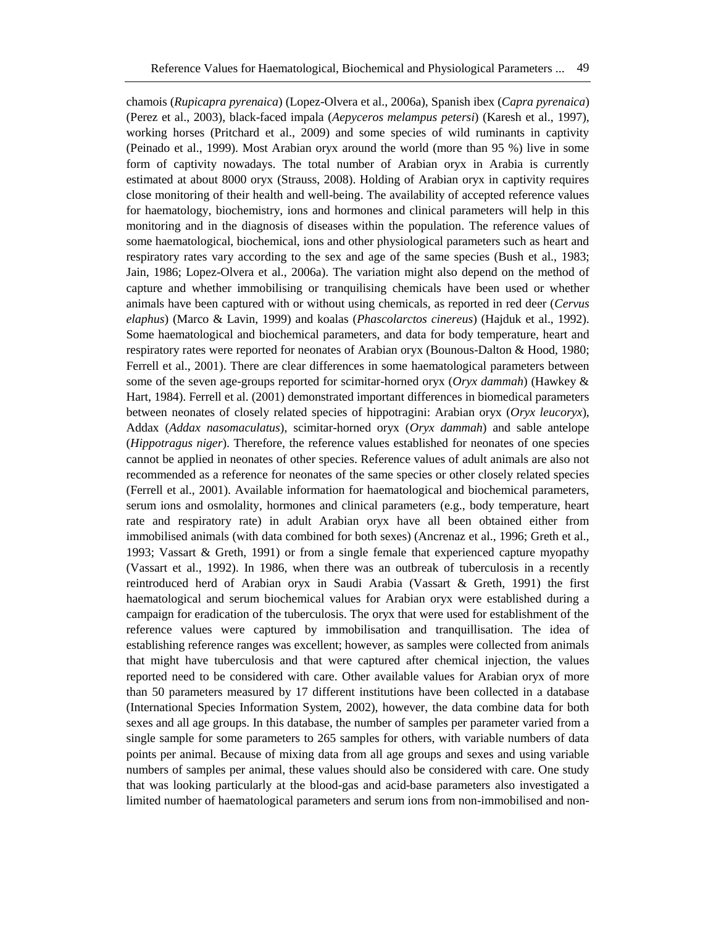chamois (*Rupicapra pyrenaica*) (Lopez-Olvera et al., 2006a), Spanish ibex (*Capra pyrenaica*) (Perez et al., 2003), black-faced impala (*Aepyceros melampus petersi*) (Karesh et al., 1997), working horses (Pritchard et al., 2009) and some species of wild ruminants in captivity (Peinado et al., 1999). Most Arabian oryx around the world (more than 95 %) live in some form of captivity nowadays. The total number of Arabian oryx in Arabia is currently estimated at about 8000 oryx (Strauss, 2008). Holding of Arabian oryx in captivity requires close monitoring of their health and well-being. The availability of accepted reference values for haematology, biochemistry, ions and hormones and clinical parameters will help in this monitoring and in the diagnosis of diseases within the population. The reference values of some haematological, biochemical, ions and other physiological parameters such as heart and respiratory rates vary according to the sex and age of the same species (Bush et al., 1983; Jain, 1986; Lopez-Olvera et al., 2006a). The variation might also depend on the method of capture and whether immobilising or tranquilising chemicals have been used or whether animals have been captured with or without using chemicals, as reported in red deer (*Cervus elaphus*) (Marco & Lavin, 1999) and koalas (*Phascolarctos cinereus*) (Hajduk et al., 1992). Some haematological and biochemical parameters, and data for body temperature, heart and respiratory rates were reported for neonates of Arabian oryx (Bounous-Dalton & Hood, 1980; Ferrell et al., 2001). There are clear differences in some haematological parameters between some of the seven age-groups reported for scimitar-horned oryx (*Oryx dammah*) (Hawkey & Hart, 1984). Ferrell et al. (2001) demonstrated important differences in biomedical parameters between neonates of closely related species of hippotragini: Arabian oryx (*Oryx leucoryx*), Addax (*Addax nasomaculatus*), scimitar-horned oryx (*Oryx dammah*) and sable antelope (*Hippotragus niger*). Therefore, the reference values established for neonates of one species cannot be applied in neonates of other species. Reference values of adult animals are also not recommended as a reference for neonates of the same species or other closely related species (Ferrell et al., 2001). Available information for haematological and biochemical parameters, serum ions and osmolality, hormones and clinical parameters (e.g., body temperature, heart rate and respiratory rate) in adult Arabian oryx have all been obtained either from immobilised animals (with data combined for both sexes) (Ancrenaz et al., 1996; Greth et al., 1993; Vassart & Greth, 1991) or from a single female that experienced capture myopathy (Vassart et al., 1992). In 1986, when there was an outbreak of tuberculosis in a recently reintroduced herd of Arabian oryx in Saudi Arabia (Vassart & Greth, 1991) the first haematological and serum biochemical values for Arabian oryx were established during a campaign for eradication of the tuberculosis. The oryx that were used for establishment of the reference values were captured by immobilisation and tranquillisation. The idea of establishing reference ranges was excellent; however, as samples were collected from animals that might have tuberculosis and that were captured after chemical injection, the values reported need to be considered with care. Other available values for Arabian oryx of more than 50 parameters measured by 17 different institutions have been collected in a database (International Species Information System, 2002), however, the data combine data for both sexes and all age groups. In this database, the number of samples per parameter varied from a single sample for some parameters to 265 samples for others, with variable numbers of data points per animal. Because of mixing data from all age groups and sexes and using variable numbers of samples per animal, these values should also be considered with care. One study that was looking particularly at the blood-gas and acid-base parameters also investigated a limited number of haematological parameters and serum ions from non-immobilised and non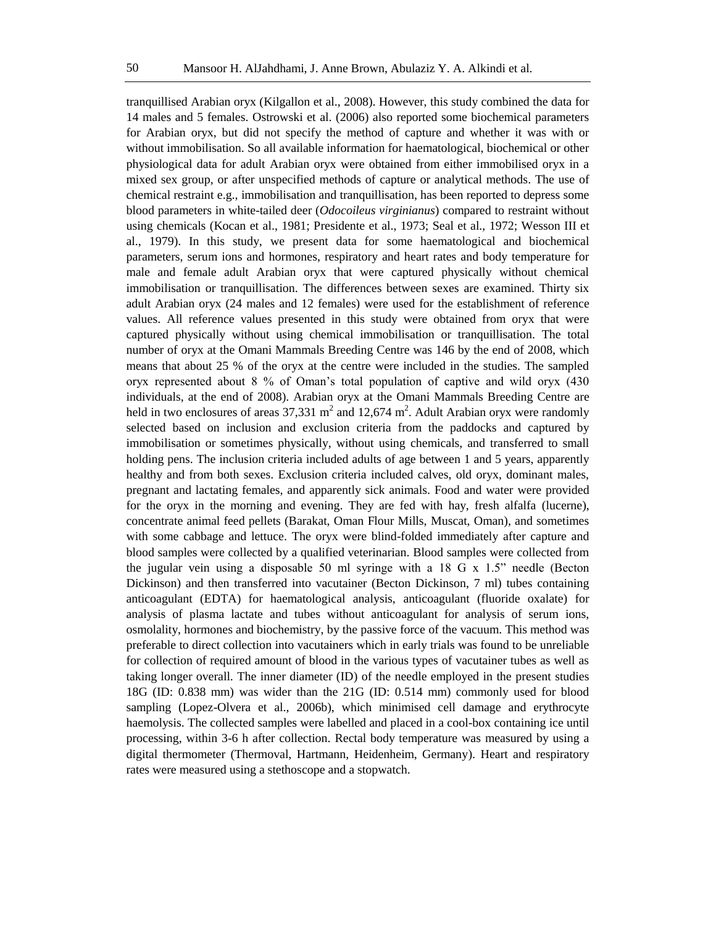tranquillised Arabian oryx (Kilgallon et al., 2008). However, this study combined the data for 14 males and 5 females. Ostrowski et al. (2006) also reported some biochemical parameters for Arabian oryx, but did not specify the method of capture and whether it was with or without immobilisation. So all available information for haematological, biochemical or other physiological data for adult Arabian oryx were obtained from either immobilised oryx in a mixed sex group, or after unspecified methods of capture or analytical methods. The use of chemical restraint e.g., immobilisation and tranquillisation, has been reported to depress some blood parameters in white-tailed deer (*Odocoileus virginianus*) compared to restraint without using chemicals (Kocan et al., 1981; Presidente et al., 1973; Seal et al., 1972; Wesson III et al., 1979). In this study, we present data for some haematological and biochemical parameters, serum ions and hormones, respiratory and heart rates and body temperature for male and female adult Arabian oryx that were captured physically without chemical immobilisation or tranquillisation. The differences between sexes are examined. Thirty six adult Arabian oryx (24 males and 12 females) were used for the establishment of reference values. All reference values presented in this study were obtained from oryx that were captured physically without using chemical immobilisation or tranquillisation. The total number of oryx at the Omani Mammals Breeding Centre was 146 by the end of 2008, which means that about 25 % of the oryx at the centre were included in the studies. The sampled oryx represented about 8 % of Oman's total population of captive and wild oryx (430 individuals, at the end of 2008). Arabian oryx at the Omani Mammals Breeding Centre are held in two enclosures of areas 37,331  $m^2$  and 12,674  $m^2$ . Adult Arabian oryx were randomly selected based on inclusion and exclusion criteria from the paddocks and captured by immobilisation or sometimes physically, without using chemicals, and transferred to small holding pens. The inclusion criteria included adults of age between 1 and 5 years, apparently healthy and from both sexes. Exclusion criteria included calves, old oryx, dominant males, pregnant and lactating females, and apparently sick animals. Food and water were provided for the oryx in the morning and evening. They are fed with hay, fresh alfalfa (lucerne), concentrate animal feed pellets (Barakat, Oman Flour Mills, Muscat, Oman), and sometimes with some cabbage and lettuce. The oryx were blind-folded immediately after capture and blood samples were collected by a qualified veterinarian. Blood samples were collected from the jugular vein using a disposable 50 ml syringe with a 18 G  $\times$  1.5" needle (Becton Dickinson) and then transferred into vacutainer (Becton Dickinson, 7 ml) tubes containing anticoagulant (EDTA) for haematological analysis, anticoagulant (fluoride oxalate) for analysis of plasma lactate and tubes without anticoagulant for analysis of serum ions, osmolality, hormones and biochemistry, by the passive force of the vacuum. This method was preferable to direct collection into vacutainers which in early trials was found to be unreliable for collection of required amount of blood in the various types of vacutainer tubes as well as taking longer overall. The inner diameter (ID) of the needle employed in the present studies 18G (ID: 0.838 mm) was wider than the 21G (ID: 0.514 mm) commonly used for blood sampling (Lopez-Olvera et al., 2006b), which minimised cell damage and erythrocyte haemolysis. The collected samples were labelled and placed in a cool-box containing ice until processing, within 3-6 h after collection. Rectal body temperature was measured by using a digital thermometer (Thermoval, Hartmann, Heidenheim, Germany). Heart and respiratory rates were measured using a stethoscope and a stopwatch.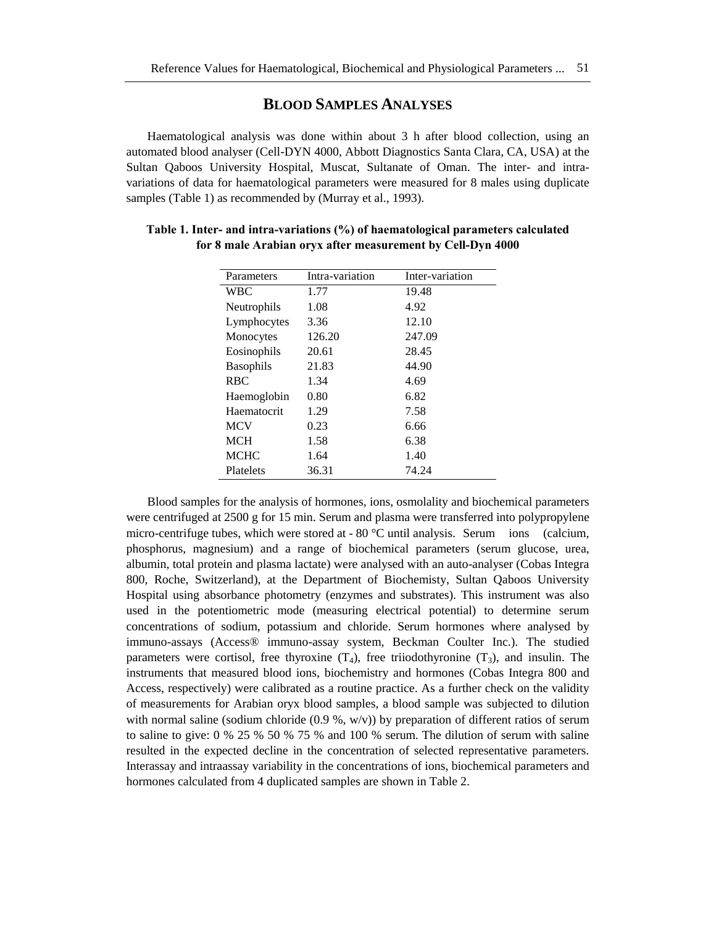### **BLOOD SAMPLES ANALYSES**

Haematological analysis was done within about 3 h after blood collection, using an automated blood analyser (Cell-DYN 4000, Abbott Diagnostics Santa Clara, CA, USA) at the Sultan Qaboos University Hospital, Muscat, Sultanate of Oman. The inter- and intravariations of data for haematological parameters were measured for 8 males using duplicate samples (Table 1) as recommended by (Murray et al., 1993).

| Parameters       | Intra-variation | Inter-variation |
|------------------|-----------------|-----------------|
| <b>WBC</b>       | 1.77            | 19.48           |
| Neutrophils      | 1.08            | 4.92            |
| Lymphocytes      | 3.36            | 12.10           |
| Monocytes        | 126.20          | 247.09          |
| Eosinophils      | 20.61           | 28.45           |
| <b>Basophils</b> | 21.83           | 44.90           |
| <b>RBC</b>       | 1.34            | 4.69            |
| Haemoglobin      | 0.80            | 6.82            |
| Haematocrit      | 1.29            | 7.58            |
| <b>MCV</b>       | 0.23            | 6.66            |
| <b>MCH</b>       | 1.58            | 6.38            |
| <b>MCHC</b>      | 1.64            | 1.40            |
| Platelets        | 36.31           | 74.24           |

**Table 1. Inter- and intra-variations (%) of haematological parameters calculated for 8 male Arabian oryx after measurement by Cell-Dyn 4000**

Blood samples for the analysis of hormones, ions, osmolality and biochemical parameters were centrifuged at 2500 g for 15 min. Serum and plasma were transferred into polypropylene micro-centrifuge tubes, which were stored at - 80 °C until analysis. Serum ions (calcium, phosphorus, magnesium) and a range of biochemical parameters (serum glucose, urea, albumin, total protein and plasma lactate) were analysed with an auto-analyser (Cobas Integra 800, Roche, Switzerland), at the Department of Biochemisty, Sultan Qaboos University Hospital using absorbance photometry (enzymes and substrates). This instrument was also used in the potentiometric mode (measuring electrical potential) to determine serum concentrations of sodium, potassium and chloride. Serum hormones where analysed by immuno-assays (Access® immuno-assay system, Beckman Coulter Inc.). The studied parameters were cortisol, free thyroxine  $(T_4)$ , free triiodothyronine  $(T_3)$ , and insulin. The instruments that measured blood ions, biochemistry and hormones (Cobas Integra 800 and Access, respectively) were calibrated as a routine practice. As a further check on the validity of measurements for Arabian oryx blood samples, a blood sample was subjected to dilution with normal saline (sodium chloride  $(0.9, \frac{w}{v})$ ) by preparation of different ratios of serum to saline to give:  $0\%$  25 % 50 % 75 % and 100 % serum. The dilution of serum with saline resulted in the expected decline in the concentration of selected representative parameters. Interassay and intraassay variability in the concentrations of ions, biochemical parameters and hormones calculated from 4 duplicated samples are shown in Table 2.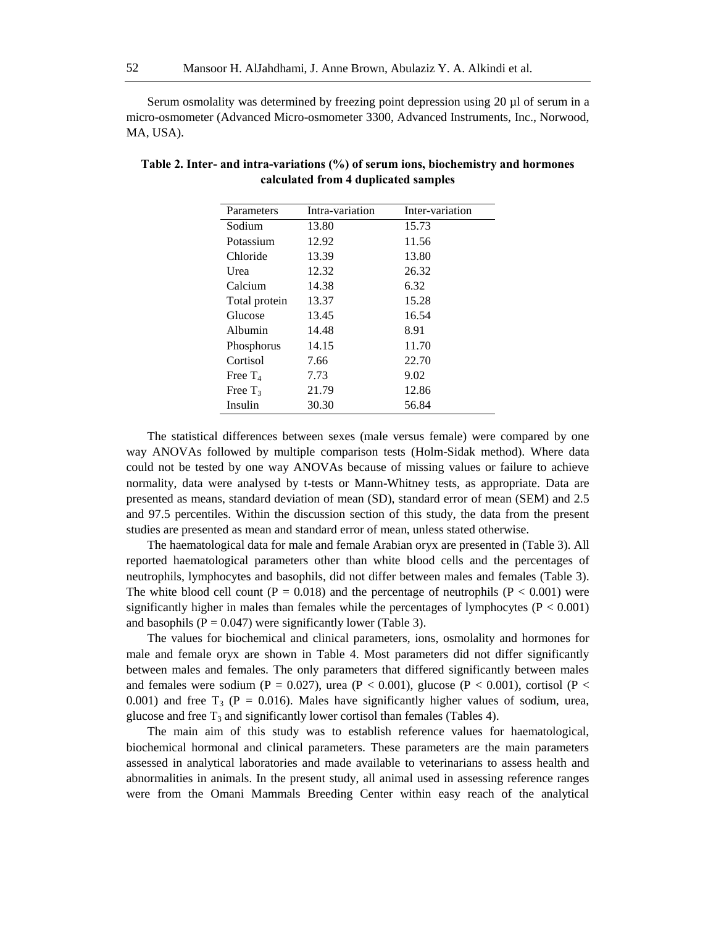Serum osmolality was determined by freezing point depression using 20 µl of serum in a micro-osmometer (Advanced Micro-osmometer 3300, Advanced Instruments, Inc., Norwood, MA, USA).

| Parameters    | Intra-variation | Inter-variation |
|---------------|-----------------|-----------------|
| Sodium        | 13.80           | 15.73           |
| Potassium     | 12.92           | 11.56           |
| Chloride      | 13.39           | 13.80           |
| Urea          | 12.32           | 26.32           |
| Calcium       | 14.38           | 6.32            |
| Total protein | 13.37           | 15.28           |
| Glucose       | 13.45           | 16.54           |
| Albumin       | 14.48           | 8.91            |
| Phosphorus    | 14.15           | 11.70           |
| Cortisol      | 7.66            | 22.70           |
| Free $T_4$    | 7.73            | 9.02            |
| Free $T_3$    | 21.79           | 12.86           |
| Insulin       | 30.30           | 56.84           |

| Table 2. Inter- and intra-variations (%) of serum ions, biochemistry and hormones |
|-----------------------------------------------------------------------------------|
| calculated from 4 duplicated samples                                              |

The statistical differences between sexes (male versus female) were compared by one way ANOVAs followed by multiple comparison tests (Holm-Sidak method). Where data could not be tested by one way ANOVAs because of missing values or failure to achieve normality, data were analysed by t-tests or Mann-Whitney tests, as appropriate. Data are presented as means, standard deviation of mean (SD), standard error of mean (SEM) and 2.5 and 97.5 percentiles. Within the discussion section of this study, the data from the present studies are presented as mean and standard error of mean, unless stated otherwise.

The haematological data for male and female Arabian oryx are presented in (Table 3). All reported haematological parameters other than white blood cells and the percentages of neutrophils, lymphocytes and basophils, did not differ between males and females (Table 3). The white blood cell count ( $P = 0.018$ ) and the percentage of neutrophils ( $P < 0.001$ ) were significantly higher in males than females while the percentages of lymphocytes ( $P < 0.001$ ) and basophils ( $P = 0.047$ ) were significantly lower (Table 3).

The values for biochemical and clinical parameters, ions, osmolality and hormones for male and female oryx are shown in Table 4. Most parameters did not differ significantly between males and females. The only parameters that differed significantly between males and females were sodium (P = 0.027), urea (P < 0.001), glucose (P < 0.001), cortisol (P < 0.001) and free  $T_3$  (P = 0.016). Males have significantly higher values of sodium, urea, glucose and free  $T_3$  and significantly lower cortisol than females (Tables 4).

The main aim of this study was to establish reference values for haematological, biochemical hormonal and clinical parameters. These parameters are the main parameters assessed in analytical laboratories and made available to veterinarians to assess health and abnormalities in animals. In the present study, all animal used in assessing reference ranges were from the Omani Mammals Breeding Center within easy reach of the analytical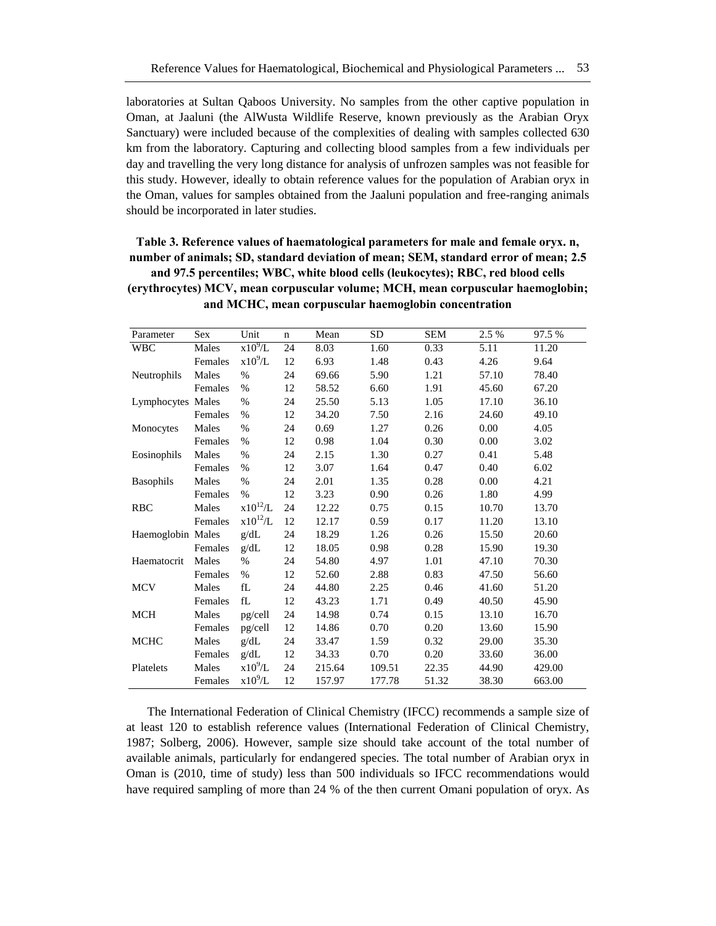laboratories at Sultan Qaboos University. No samples from the other captive population in Oman, at Jaaluni (the AlWusta Wildlife Reserve, known previously as the Arabian Oryx Sanctuary) were included because of the complexities of dealing with samples collected 630 km from the laboratory. Capturing and collecting blood samples from a few individuals per day and travelling the very long distance for analysis of unfrozen samples was not feasible for this study. However, ideally to obtain reference values for the population of Arabian oryx in the Oman, values for samples obtained from the Jaaluni population and free-ranging animals should be incorporated in later studies.

**Table 3. Reference values of haematological parameters for male and female oryx. n, number of animals; SD, standard deviation of mean; SEM, standard error of mean; 2.5 and 97.5 percentiles; WBC, white blood cells (leukocytes); RBC, red blood cells (erythrocytes) MCV, mean corpuscular volume; MCH, mean corpuscular haemoglobin; and MCHC, mean corpuscular haemoglobin concentration**

| Parameter         | Sex     | Unit         | $\mathbf n$ | Mean   | <b>SD</b> | <b>SEM</b> | 2.5 % | 97.5 % |
|-------------------|---------|--------------|-------------|--------|-----------|------------|-------|--------|
| <b>WBC</b>        | Males   | $x10^9/L$    | 24          | 8.03   | 1.60      | 0.33       | 5.11  | 11.20  |
|                   | Females | $x10^9/L$    | 12          | 6.93   | 1.48      | 0.43       | 4.26  | 9.64   |
| Neutrophils       | Males   | $\%$         | 24          | 69.66  | 5.90      | 1.21       | 57.10 | 78.40  |
|                   | Females | %            | 12          | 58.52  | 6.60      | 1.91       | 45.60 | 67.20  |
| Lymphocytes Males |         | %            | 24          | 25.50  | 5.13      | 1.05       | 17.10 | 36.10  |
|                   | Females | $\%$         | 12          | 34.20  | 7.50      | 2.16       | 24.60 | 49.10  |
| Monocytes         | Males   | $\%$         | 24          | 0.69   | 1.27      | 0.26       | 0.00  | 4.05   |
|                   | Females | $\%$         | 12          | 0.98   | 1.04      | 0.30       | 0.00  | 3.02   |
| Eosinophils       | Males   | $\%$         | 24          | 2.15   | 1.30      | 0.27       | 0.41  | 5.48   |
|                   | Females | $\%$         | 12          | 3.07   | 1.64      | 0.47       | 0.40  | 6.02   |
| <b>Basophils</b>  | Males   | $\%$         | 24          | 2.01   | 1.35      | 0.28       | 0.00  | 4.21   |
|                   | Females | $\%$         | 12          | 3.23   | 0.90      | 0.26       | 1.80  | 4.99   |
| RBC               | Males   | $x10^{12}/L$ | 24          | 12.22  | 0.75      | 0.15       | 10.70 | 13.70  |
|                   | Females | $x10^{12}/L$ | 12          | 12.17  | 0.59      | 0.17       | 11.20 | 13.10  |
| Haemoglobin Males |         | g/dL         | 24          | 18.29  | 1.26      | 0.26       | 15.50 | 20.60  |
|                   | Females | g/dL         | 12          | 18.05  | 0.98      | 0.28       | 15.90 | 19.30  |
| Haematocrit       | Males   | $\%$         | 24          | 54.80  | 4.97      | 1.01       | 47.10 | 70.30  |
|                   | Females | $\%$         | 12          | 52.60  | 2.88      | 0.83       | 47.50 | 56.60  |
| <b>MCV</b>        | Males   | fL           | 24          | 44.80  | 2.25      | 0.46       | 41.60 | 51.20  |
|                   | Females | fL           | 12          | 43.23  | 1.71      | 0.49       | 40.50 | 45.90  |
| <b>MCH</b>        | Males   | pg/cell      | 24          | 14.98  | 0.74      | 0.15       | 13.10 | 16.70  |
|                   | Females | pg/cell      | 12          | 14.86  | 0.70      | 0.20       | 13.60 | 15.90  |
| <b>MCHC</b>       | Males   | g/dL         | 24          | 33.47  | 1.59      | 0.32       | 29.00 | 35.30  |
|                   | Females | g/dL         | 12          | 34.33  | 0.70      | 0.20       | 33.60 | 36.00  |
| Platelets         | Males   | $x10^9/L$    | 24          | 215.64 | 109.51    | 22.35      | 44.90 | 429.00 |
|                   | Females | $x10^9/L$    | 12          | 157.97 | 177.78    | 51.32      | 38.30 | 663.00 |

The International Federation of Clinical Chemistry (IFCC) recommends a sample size of at least 120 to establish reference values (International Federation of Clinical Chemistry, 1987; Solberg, 2006). However, sample size should take account of the total number of available animals, particularly for endangered species. The total number of Arabian oryx in Oman is (2010, time of study) less than 500 individuals so IFCC recommendations would have required sampling of more than 24 % of the then current Omani population of oryx. As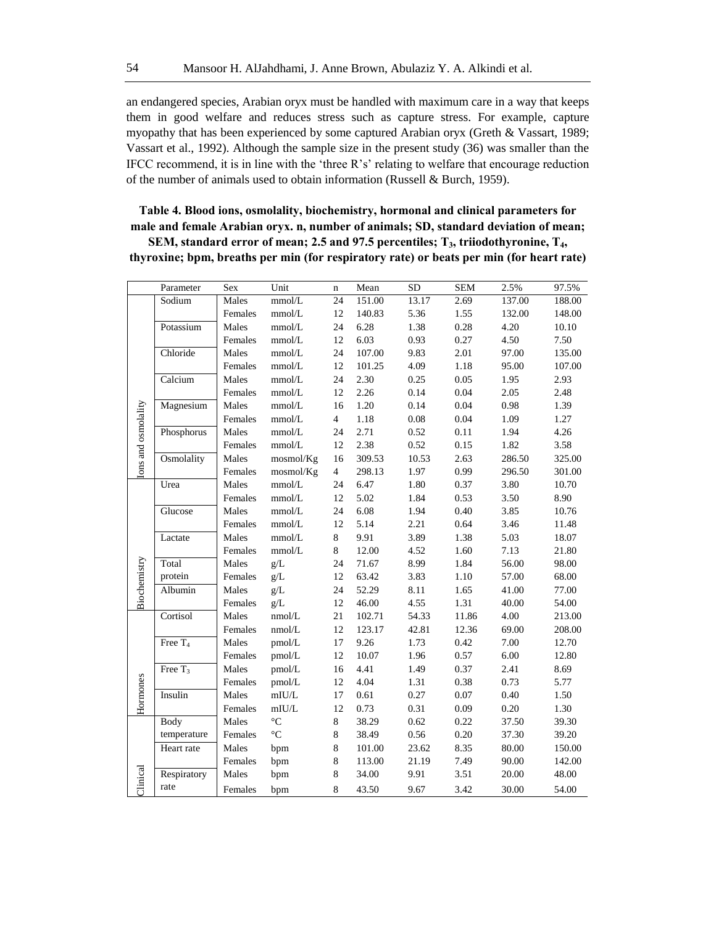an endangered species, Arabian oryx must be handled with maximum care in a way that keeps them in good welfare and reduces stress such as capture stress. For example, capture myopathy that has been experienced by some captured Arabian oryx (Greth & Vassart, 1989; Vassart et al., 1992). Although the sample size in the present study (36) was smaller than the IFCC recommend, it is in line with the 'three R's' relating to welfare that encourage reduction of the number of animals used to obtain information (Russell & Burch, 1959).

## **Table 4. Blood ions, osmolality, biochemistry, hormonal and clinical parameters for male and female Arabian oryx. n, number of animals; SD, standard deviation of mean;**

**SEM, standard error of mean; 2.5 and 97.5 percentiles; T3, triiodothyronine, T4, thyroxine; bpm, breaths per min (for respiratory rate) or beats per min (for heart rate)**

|                    | Parameter           | Sex     | Unit            | $\bf n$        | Mean   | $\overline{SD}$ | <b>SEM</b> | 2.5%   | 97.5%  |
|--------------------|---------------------|---------|-----------------|----------------|--------|-----------------|------------|--------|--------|
|                    | Sodium              | Males   | mmol/L          | 24             | 151.00 | 13.17           | 2.69       | 137.00 | 188.00 |
|                    |                     | Females | $\mbox{mmol/L}$ | 12             | 140.83 | 5.36            | 1.55       | 132.00 | 148.00 |
|                    | Potassium           | Males   | mmol/L          | 24             | 6.28   | 1.38            | 0.28       | 4.20   | 10.10  |
|                    |                     | Females | mmol/L          | 12             | 6.03   | 0.93            | 0.27       | 4.50   | 7.50   |
|                    | Chloride            | Males   | mmol/L          | 24             | 107.00 | 9.83            | 2.01       | 97.00  | 135.00 |
|                    |                     | Females | $mmol/L$        | 12             | 101.25 | 4.09            | 1.18       | 95.00  | 107.00 |
|                    | Calcium             | Males   | mmol/L          | 24             | 2.30   | 0.25            | 0.05       | 1.95   | 2.93   |
|                    |                     | Females | $mmol/L$        | 12             | 2.26   | 0.14            | 0.04       | 2.05   | 2.48   |
|                    | Magnesium           | Males   | mmol/L          | 16             | 1.20   | 0.14            | 0.04       | 0.98   | 1.39   |
|                    |                     | Females | mmol/L          | $\overline{4}$ | 1.18   | $0.08\,$        | 0.04       | 1.09   | 1.27   |
|                    | Phosphorus          | Males   | mmol/L          | 24             | 2.71   | 0.52            | 0.11       | 1.94   | 4.26   |
|                    |                     | Females | mmol/L          | 12             | 2.38   | 0.52            | 0.15       | 1.82   | 3.58   |
| ons and osmolality | Osmolality          | Males   | mosmol/Kg       | 16             | 309.53 | 10.53           | 2.63       | 286.50 | 325.00 |
|                    |                     | Females | mosmol/Kg       | $\overline{4}$ | 298.13 | 1.97            | 0.99       | 296.50 | 301.00 |
|                    | Urea                | Males   | mmol/L          | 24             | 6.47   | 1.80            | 0.37       | 3.80   | 10.70  |
|                    |                     | Females | mmol/L          | 12             | 5.02   | 1.84            | 0.53       | 3.50   | 8.90   |
|                    | Glucose             | Males   | mmol/L          | 24             | 6.08   | 1.94            | 0.40       | 3.85   | 10.76  |
|                    |                     | Females | $mmol/L$        | 12             | 5.14   | 2.21            | 0.64       | 3.46   | 11.48  |
|                    | Lactate             | Males   | mmol/L          | $\,8\,$        | 9.91   | 3.89            | 1.38       | 5.03   | 18.07  |
|                    |                     | Females | $mmol/L$        | $8\,$          | 12.00  | 4.52            | 1.60       | 7.13   | 21.80  |
|                    | Total               | Males   | g/L             | 24             | 71.67  | 8.99            | 1.84       | 56.00  | 98.00  |
|                    | protein             | Females | g/L             | 12             | 63.42  | 3.83            | $1.10\,$   | 57.00  | 68.00  |
| Biochemistry       | Albumin             | Males   | g/L             | 24             | 52.29  | 8.11            | 1.65       | 41.00  | 77.00  |
|                    |                     | Females | g/L             | 12             | 46.00  | 4.55            | 1.31       | 40.00  | 54.00  |
|                    | Cortisol            | Males   | nmol/L          | 21             | 102.71 | 54.33           | 11.86      | 4.00   | 213.00 |
|                    |                     | Females | nmol/L          | 12             | 123.17 | 42.81           | 12.36      | 69.00  | 208.00 |
|                    | Free $T_4$          | Males   | pmol/L          | 17             | 9.26   | 1.73            | 0.42       | 7.00   | 12.70  |
|                    |                     | Females | pmol/L          | 12             | 10.07  | 1.96            | 0.57       | 6.00   | 12.80  |
|                    | Free T <sub>3</sub> | Males   | pmol/L          | 16             | 4.41   | 1.49            | 0.37       | 2.41   | 8.69   |
| Hormones           |                     | Females | pmol/L          | 12             | 4.04   | 1.31            | 0.38       | 0.73   | 5.77   |
|                    | Insulin             | Males   | mIU/L           | 17             | 0.61   | 0.27            | 0.07       | 0.40   | 1.50   |
|                    |                     | Females | $\text{mIU/L}$  | 12             | 0.73   | 0.31            | 0.09       | 0.20   | 1.30   |
|                    | <b>Body</b>         | Males   | $\rm ^{\circ}C$ | $8\,$          | 38.29  | 0.62            | 0.22       | 37.50  | 39.30  |
|                    | temperature         | Females | $\rm ^{\circ}C$ | $\,$ 8 $\,$    | 38.49  | 0.56            | $0.20\,$   | 37.30  | 39.20  |
|                    | Heart rate          | Males   | bpm             | $\,$ 8 $\,$    | 101.00 | 23.62           | 8.35       | 80.00  | 150.00 |
|                    |                     | Females | bpm             | $\,$ 8 $\,$    | 113.00 | 21.19           | 7.49       | 90.00  | 142.00 |
|                    | Respiratory         | Males   | bpm             | 8              | 34.00  | 9.91            | 3.51       | 20.00  | 48.00  |
| Clinical           | rate                | Females | bpm             | 8              | 43.50  | 9.67            | 3.42       | 30.00  | 54.00  |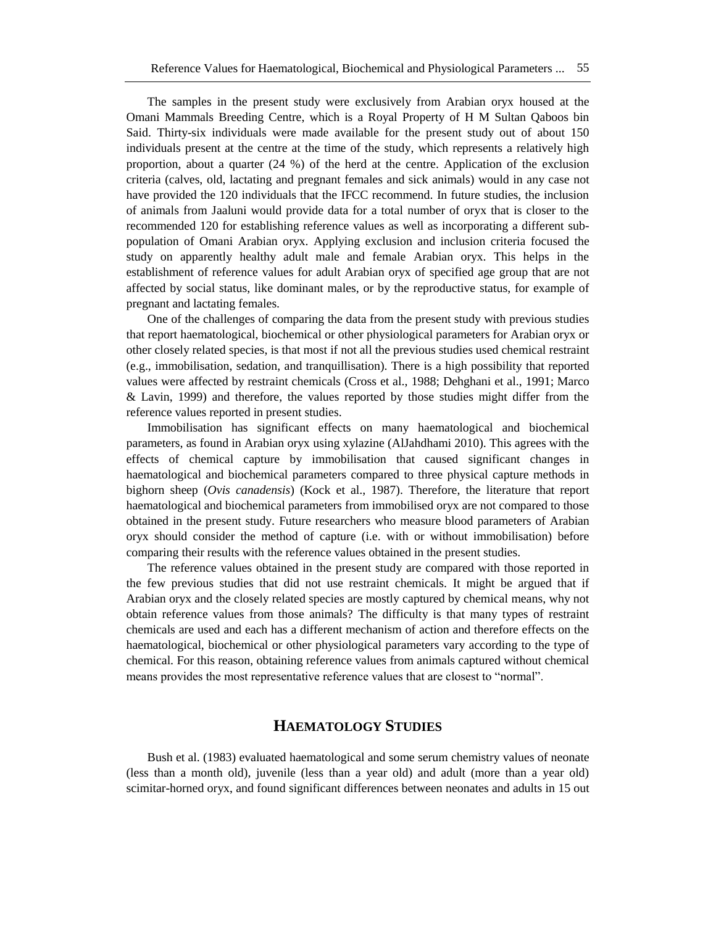The samples in the present study were exclusively from Arabian oryx housed at the Omani Mammals Breeding Centre, which is a Royal Property of H M Sultan Qaboos bin Said. Thirty-six individuals were made available for the present study out of about 150 individuals present at the centre at the time of the study, which represents a relatively high proportion, about a quarter (24 %) of the herd at the centre. Application of the exclusion criteria (calves, old, lactating and pregnant females and sick animals) would in any case not have provided the 120 individuals that the IFCC recommend. In future studies, the inclusion of animals from Jaaluni would provide data for a total number of oryx that is closer to the recommended 120 for establishing reference values as well as incorporating a different subpopulation of Omani Arabian oryx. Applying exclusion and inclusion criteria focused the study on apparently healthy adult male and female Arabian oryx. This helps in the establishment of reference values for adult Arabian oryx of specified age group that are not affected by social status, like dominant males, or by the reproductive status, for example of pregnant and lactating females.

One of the challenges of comparing the data from the present study with previous studies that report haematological, biochemical or other physiological parameters for Arabian oryx or other closely related species, is that most if not all the previous studies used chemical restraint (e.g., immobilisation, sedation, and tranquillisation). There is a high possibility that reported values were affected by restraint chemicals (Cross et al., 1988; Dehghani et al., 1991; Marco & Lavin, 1999) and therefore, the values reported by those studies might differ from the reference values reported in present studies.

Immobilisation has significant effects on many haematological and biochemical parameters, as found in Arabian oryx using xylazine (AlJahdhami 2010). This agrees with the effects of chemical capture by immobilisation that caused significant changes in haematological and biochemical parameters compared to three physical capture methods in bighorn sheep (*Ovis canadensis*) (Kock et al., 1987). Therefore, the literature that report haematological and biochemical parameters from immobilised oryx are not compared to those obtained in the present study. Future researchers who measure blood parameters of Arabian oryx should consider the method of capture (i.e. with or without immobilisation) before comparing their results with the reference values obtained in the present studies.

The reference values obtained in the present study are compared with those reported in the few previous studies that did not use restraint chemicals. It might be argued that if Arabian oryx and the closely related species are mostly captured by chemical means, why not obtain reference values from those animals? The difficulty is that many types of restraint chemicals are used and each has a different mechanism of action and therefore effects on the haematological, biochemical or other physiological parameters vary according to the type of chemical. For this reason, obtaining reference values from animals captured without chemical means provides the most representative reference values that are closest to "normal".

## **HAEMATOLOGY STUDIES**

Bush et al. (1983) evaluated haematological and some serum chemistry values of neonate (less than a month old), juvenile (less than a year old) and adult (more than a year old) scimitar-horned oryx, and found significant differences between neonates and adults in 15 out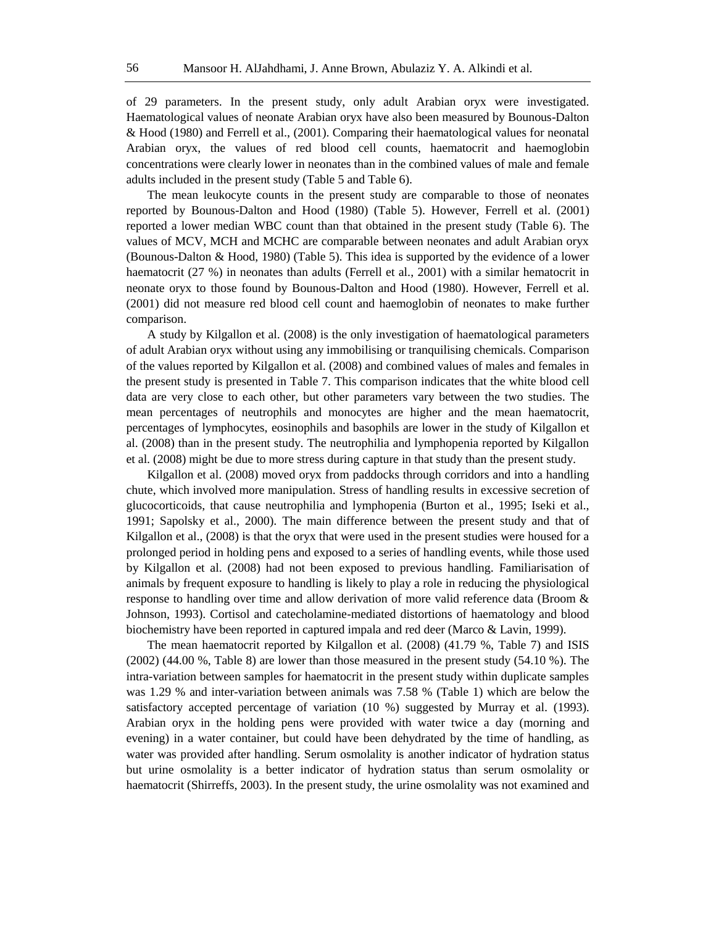of 29 parameters. In the present study, only adult Arabian oryx were investigated. Haematological values of neonate Arabian oryx have also been measured by Bounous-Dalton & Hood (1980) and Ferrell et al., (2001). Comparing their haematological values for neonatal Arabian oryx, the values of red blood cell counts, haematocrit and haemoglobin concentrations were clearly lower in neonates than in the combined values of male and female adults included in the present study (Table 5 and Table 6).

The mean leukocyte counts in the present study are comparable to those of neonates reported by Bounous-Dalton and Hood (1980) (Table 5). However, Ferrell et al. (2001) reported a lower median WBC count than that obtained in the present study (Table 6). The values of MCV, MCH and MCHC are comparable between neonates and adult Arabian oryx (Bounous-Dalton & Hood, 1980) (Table 5). This idea is supported by the evidence of a lower haematocrit (27 %) in neonates than adults (Ferrell et al., 2001) with a similar hematocrit in neonate oryx to those found by Bounous-Dalton and Hood (1980). However, Ferrell et al. (2001) did not measure red blood cell count and haemoglobin of neonates to make further comparison.

A study by Kilgallon et al. (2008) is the only investigation of haematological parameters of adult Arabian oryx without using any immobilising or tranquilising chemicals. Comparison of the values reported by Kilgallon et al. (2008) and combined values of males and females in the present study is presented in Table 7. This comparison indicates that the white blood cell data are very close to each other, but other parameters vary between the two studies. The mean percentages of neutrophils and monocytes are higher and the mean haematocrit, percentages of lymphocytes, eosinophils and basophils are lower in the study of Kilgallon et al. (2008) than in the present study. The neutrophilia and lymphopenia reported by Kilgallon et al. (2008) might be due to more stress during capture in that study than the present study.

Kilgallon et al. (2008) moved oryx from paddocks through corridors and into a handling chute, which involved more manipulation. Stress of handling results in excessive secretion of glucocorticoids, that cause neutrophilia and lymphopenia (Burton et al., 1995; Iseki et al., 1991; Sapolsky et al., 2000). The main difference between the present study and that of Kilgallon et al., (2008) is that the oryx that were used in the present studies were housed for a prolonged period in holding pens and exposed to a series of handling events, while those used by Kilgallon et al. (2008) had not been exposed to previous handling. Familiarisation of animals by frequent exposure to handling is likely to play a role in reducing the physiological response to handling over time and allow derivation of more valid reference data (Broom & Johnson, 1993). Cortisol and catecholamine-mediated distortions of haematology and blood biochemistry have been reported in captured impala and red deer (Marco & Lavin, 1999).

The mean haematocrit reported by Kilgallon et al. (2008) (41.79 %, Table 7) and ISIS (2002) (44.00 %, Table 8) are lower than those measured in the present study (54.10 %). The intra-variation between samples for haematocrit in the present study within duplicate samples was 1.29 % and inter-variation between animals was 7.58 % (Table 1) which are below the satisfactory accepted percentage of variation (10 %) suggested by Murray et al. (1993). Arabian oryx in the holding pens were provided with water twice a day (morning and evening) in a water container, but could have been dehydrated by the time of handling, as water was provided after handling. Serum osmolality is another indicator of hydration status but urine osmolality is a better indicator of hydration status than serum osmolality or haematocrit (Shirreffs, 2003). In the present study, the urine osmolality was not examined and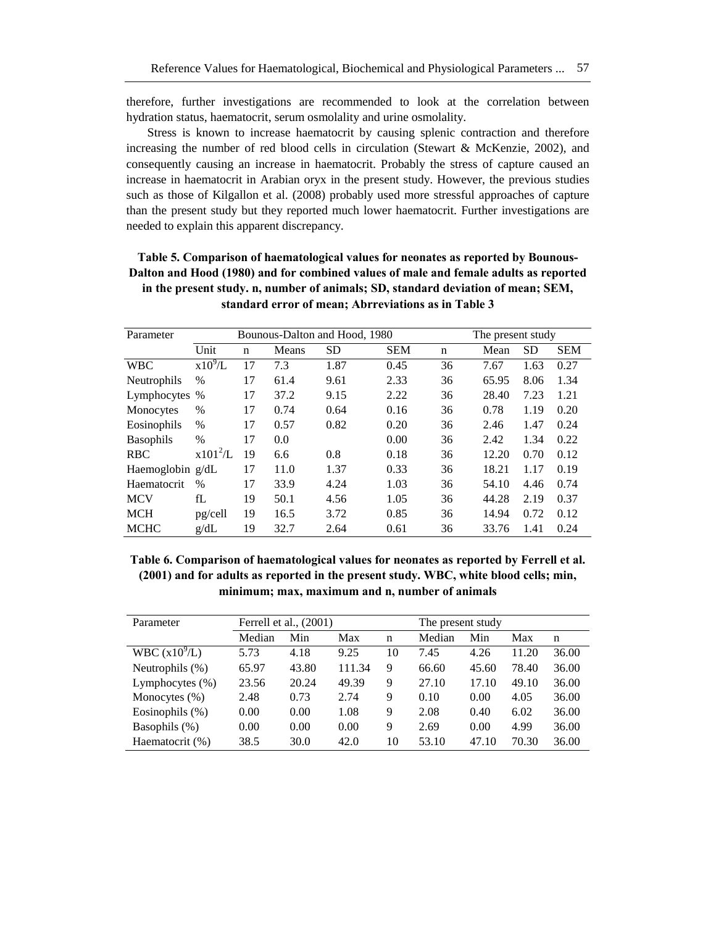therefore, further investigations are recommended to look at the correlation between hydration status, haematocrit, serum osmolality and urine osmolality.

Stress is known to increase haematocrit by causing splenic contraction and therefore increasing the number of red blood cells in circulation (Stewart & McKenzie, 2002), and consequently causing an increase in haematocrit. Probably the stress of capture caused an increase in haematocrit in Arabian oryx in the present study. However, the previous studies such as those of Kilgallon et al. (2008) probably used more stressful approaches of capture than the present study but they reported much lower haematocrit. Further investigations are needed to explain this apparent discrepancy.

| Table 5. Comparison of haematological values for neonates as reported by Bounous-    |
|--------------------------------------------------------------------------------------|
| Dalton and Hood (1980) and for combined values of male and female adults as reported |
| in the present study. n, number of animals; SD, standard deviation of mean; SEM,     |
| standard error of mean: Abrreviations as in Table 3                                  |

| Parameter        |               |             |       | Bounous-Dalton and Hood, 1980 | The present study |             |       |           |            |
|------------------|---------------|-------------|-------|-------------------------------|-------------------|-------------|-------|-----------|------------|
|                  | Unit          | $\mathbf n$ | Means | <b>SD</b>                     | <b>SEM</b>        | $\mathbf n$ | Mean  | <b>SD</b> | <b>SEM</b> |
| <b>WBC</b>       | $x10^9/L$     | 17          | 7.3   | 1.87                          | 0.45              | 36          | 7.67  | 1.63      | 0.27       |
| Neutrophils      | $\frac{0}{0}$ | 17          | 61.4  | 9.61                          | 2.33              | 36          | 65.95 | 8.06      | 1.34       |
| Lymphocytes %    |               | 17          | 37.2  | 9.15                          | 2.22              | 36          | 28.40 | 7.23      | 1.21       |
| Monocytes        | $\%$          | 17          | 0.74  | 0.64                          | 0.16              | 36          | 0.78  | 1.19      | 0.20       |
| Eosinophils      | $\%$          | 17          | 0.57  | 0.82                          | 0.20              | 36          | 2.46  | 1.47      | 0.24       |
| <b>Basophils</b> | $\%$          | 17          | 0.0   |                               | 0.00              | 36          | 2.42  | 1.34      | 0.22       |
| <b>RBC</b>       | $x101^2/L$    | 19          | 6.6   | 0.8                           | 0.18              | 36          | 12.20 | 0.70      | 0.12       |
| Haemoglobin g/dL |               | 17          | 11.0  | 1.37                          | 0.33              | 36          | 18.21 | 1.17      | 0.19       |
| Haematocrit      | $\%$          | 17          | 33.9  | 4.24                          | 1.03              | 36          | 54.10 | 4.46      | 0.74       |
| <b>MCV</b>       | fL            | 19          | 50.1  | 4.56                          | 1.05              | 36          | 44.28 | 2.19      | 0.37       |
| <b>MCH</b>       | pg/cell       | 19          | 16.5  | 3.72                          | 0.85              | 36          | 14.94 | 0.72      | 0.12       |
| <b>MCHC</b>      | g/dL          | 19          | 32.7  | 2.64                          | 0.61              | 36          | 33.76 | 1.41      | 0.24       |

**Table 6. Comparison of haematological values for neonates as reported by Ferrell et al. (2001) and for adults as reported in the present study. WBC, white blood cells; min, minimum; max, maximum and n, number of animals**

| Parameter          | Ferrell et al., $(2001)$ |       |        |             | The present study |       |       |       |
|--------------------|--------------------------|-------|--------|-------------|-------------------|-------|-------|-------|
|                    | Median                   | Min   | Max    | $\mathbf n$ | Median            | Min   | Max   | n     |
| WBC $(x10^9/L)$    | 5.73                     | 4.18  | 9.25   | 10          | 7.45              | 4.26  | 11.20 | 36.00 |
| Neutrophils $(\%)$ | 65.97                    | 43.80 | 111.34 | 9           | 66.60             | 45.60 | 78.40 | 36.00 |
| Lymphocytes $(\%)$ | 23.56                    | 20.24 | 49.39  | 9           | 27.10             | 17.10 | 49.10 | 36.00 |
| Monocytes $(\%)$   | 2.48                     | 0.73  | 2.74   | 9           | 0.10              | 0.00  | 4.05  | 36.00 |
| Eosinophils $(\%)$ | 0.00                     | 0.00  | 1.08   | 9           | 2.08              | 0.40  | 6.02  | 36.00 |
| Basophils (%)      | 0.00                     | 0.00  | 0.00   | 9           | 2.69              | 0.00  | 4.99  | 36.00 |
| Haematocrit (%)    | 38.5                     | 30.0  | 42.0   | 10          | 53.10             | 47.10 | 70.30 | 36.00 |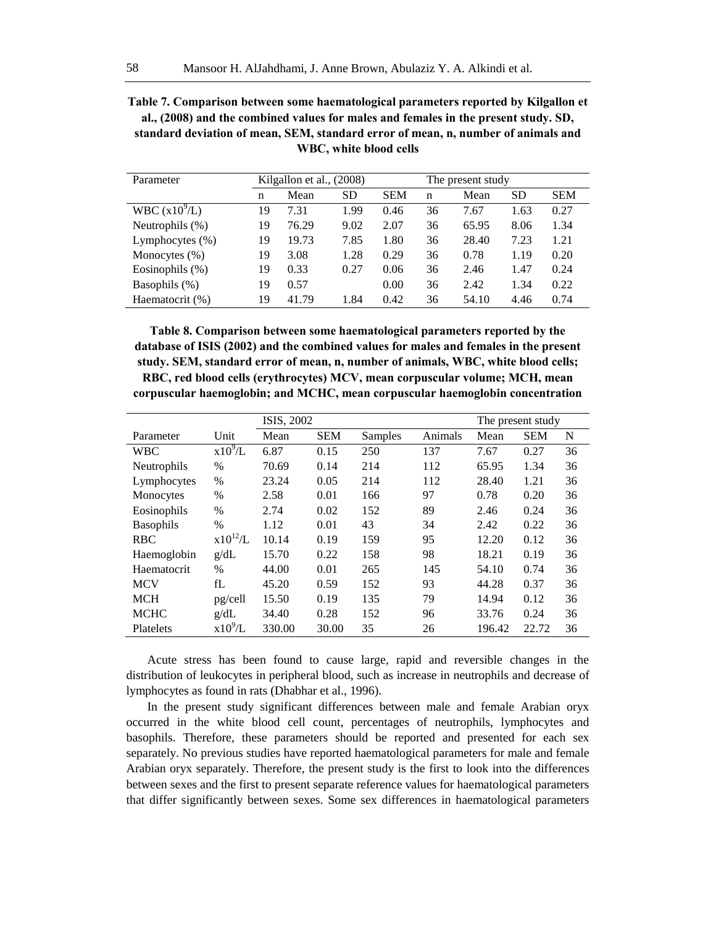**Table 7. Comparison between some haematological parameters reported by Kilgallon et al., (2008) and the combined values for males and females in the present study. SD, standard deviation of mean, SEM, standard error of mean, n, number of animals and WBC, white blood cells**

| Parameter          |    | Kilgallon et al., (2008) |           | The present study |    |       |           |            |
|--------------------|----|--------------------------|-----------|-------------------|----|-------|-----------|------------|
|                    | n  | Mean                     | <b>SD</b> | <b>SEM</b>        | n  | Mean  | <b>SD</b> | <b>SEM</b> |
| WBC $(x10^9/L)$    | 19 | 7.31                     | 1.99      | 0.46              | 36 | 7.67  | 1.63      | 0.27       |
| Neutrophils (%)    | 19 | 76.29                    | 9.02      | 2.07              | 36 | 65.95 | 8.06      | 1.34       |
| Lymphocytes $(\%)$ | 19 | 19.73                    | 7.85      | 1.80              | 36 | 28.40 | 7.23      | 1.21       |
| Monocytes $(\%)$   | 19 | 3.08                     | 1.28      | 0.29              | 36 | 0.78  | 1.19      | 0.20       |
| Eosinophils (%)    | 19 | 0.33                     | 0.27      | 0.06              | 36 | 2.46  | 1.47      | 0.24       |
| Basophils (%)      | 19 | 0.57                     |           | 0.00              | 36 | 2.42  | 1.34      | 0.22       |
| Haematocrit (%)    | 19 | 41.79                    | 1.84      | 0.42              | 36 | 54.10 | 4.46      | 0.74       |

**Table 8. Comparison between some haematological parameters reported by the database of ISIS (2002) and the combined values for males and females in the present study. SEM, standard error of mean, n, number of animals, WBC, white blood cells; RBC, red blood cells (erythrocytes) MCV, mean corpuscular volume; MCH, mean corpuscular haemoglobin; and MCHC, mean corpuscular haemoglobin concentration**

|                  |               | ISIS, 2002 |            |         | The present study |        |            |    |
|------------------|---------------|------------|------------|---------|-------------------|--------|------------|----|
| Parameter        | Unit          | Mean       | <b>SEM</b> | Samples | Animals           | Mean   | <b>SEM</b> | N  |
| <b>WBC</b>       | $x10^9/L$     | 6.87       | 0.15       | 250     | 137               | 7.67   | 0.27       | 36 |
| Neutrophils      | $\%$          | 70.69      | 0.14       | 214     | 112               | 65.95  | 1.34       | 36 |
| Lymphocytes      | $\frac{0}{0}$ | 23.24      | 0.05       | 214     | 112               | 28.40  | 1.21       | 36 |
| Monocytes        | $\%$          | 2.58       | 0.01       | 166     | 97                | 0.78   | 0.20       | 36 |
| Eosinophils      | $\frac{0}{0}$ | 2.74       | 0.02       | 152     | 89                | 2.46   | 0.24       | 36 |
| <b>Basophils</b> | $\frac{0}{0}$ | 1.12       | 0.01       | 43      | 34                | 2.42   | 0.22       | 36 |
| <b>RBC</b>       | $x10^{12}/L$  | 10.14      | 0.19       | 159     | 95                | 12.20  | 0.12       | 36 |
| Haemoglobin      | g/dL          | 15.70      | 0.22       | 158     | 98                | 18.21  | 0.19       | 36 |
| Haematocrit      | $\frac{0}{0}$ | 44.00      | 0.01       | 265     | 145               | 54.10  | 0.74       | 36 |
| <b>MCV</b>       | fL            | 45.20      | 0.59       | 152     | 93                | 44.28  | 0.37       | 36 |
| <b>MCH</b>       | pg/cell       | 15.50      | 0.19       | 135     | 79                | 14.94  | 0.12       | 36 |
| <b>MCHC</b>      | g/dL          | 34.40      | 0.28       | 152     | 96                | 33.76  | 0.24       | 36 |
| Platelets        | $x10^9/L$     | 330.00     | 30.00      | 35      | 26                | 196.42 | 22.72      | 36 |

Acute stress has been found to cause large, rapid and reversible changes in the distribution of leukocytes in peripheral blood, such as increase in neutrophils and decrease of lymphocytes as found in rats (Dhabhar et al., 1996).

In the present study significant differences between male and female Arabian oryx occurred in the white blood cell count, percentages of neutrophils, lymphocytes and basophils. Therefore, these parameters should be reported and presented for each sex separately. No previous studies have reported haematological parameters for male and female Arabian oryx separately. Therefore, the present study is the first to look into the differences between sexes and the first to present separate reference values for haematological parameters that differ significantly between sexes. Some sex differences in haematological parameters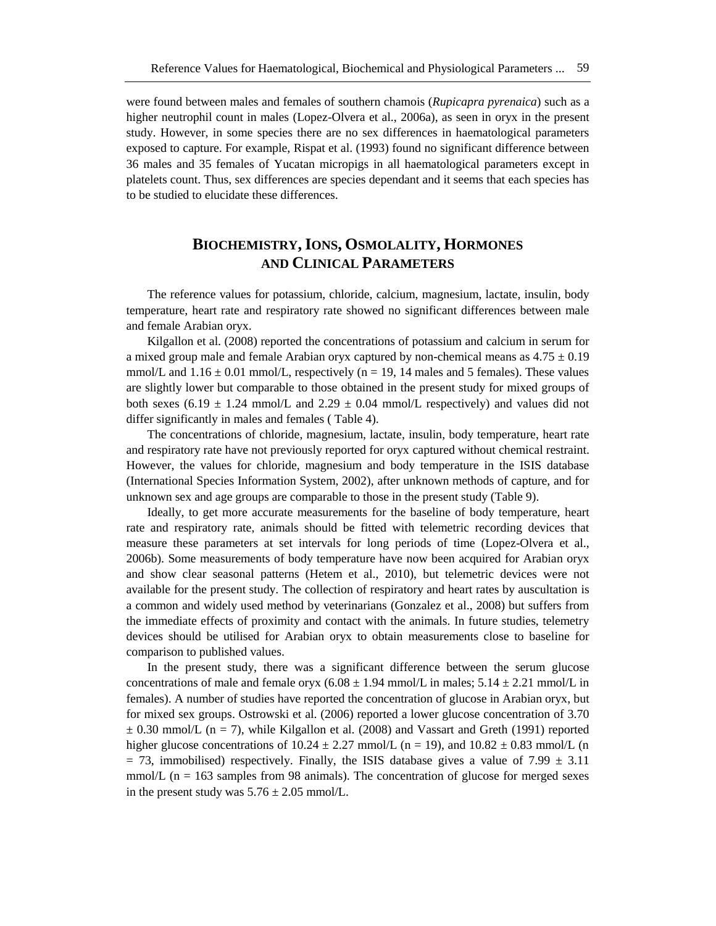were found between males and females of southern chamois (*Rupicapra pyrenaica*) such as a higher neutrophil count in males (Lopez-Olvera et al., 2006a), as seen in oryx in the present study. However, in some species there are no sex differences in haematological parameters exposed to capture. For example, Rispat et al. (1993) found no significant difference between 36 males and 35 females of Yucatan micropigs in all haematological parameters except in platelets count. Thus, sex differences are species dependant and it seems that each species has to be studied to elucidate these differences.

## **BIOCHEMISTRY,IONS, OSMOLALITY, HORMONES AND CLINICAL PARAMETERS**

The reference values for potassium, chloride, calcium, magnesium, lactate, insulin, body temperature, heart rate and respiratory rate showed no significant differences between male and female Arabian oryx.

Kilgallon et al. (2008) reported the concentrations of potassium and calcium in serum for a mixed group male and female Arabian oryx captured by non-chemical means as  $4.75 \pm 0.19$ mmol/L and  $1.16 \pm 0.01$  mmol/L, respectively (n = 19, 14 males and 5 females). These values are slightly lower but comparable to those obtained in the present study for mixed groups of both sexes (6.19  $\pm$  1.24 mmol/L and 2.29  $\pm$  0.04 mmol/L respectively) and values did not differ significantly in males and females ( Table 4).

The concentrations of chloride, magnesium, lactate, insulin, body temperature, heart rate and respiratory rate have not previously reported for oryx captured without chemical restraint. However, the values for chloride, magnesium and body temperature in the ISIS database (International Species Information System, 2002), after unknown methods of capture, and for unknown sex and age groups are comparable to those in the present study (Table 9).

Ideally, to get more accurate measurements for the baseline of body temperature, heart rate and respiratory rate, animals should be fitted with telemetric recording devices that measure these parameters at set intervals for long periods of time (Lopez-Olvera et al., 2006b). Some measurements of body temperature have now been acquired for Arabian oryx and show clear seasonal patterns (Hetem et al., 2010), but telemetric devices were not available for the present study. The collection of respiratory and heart rates by auscultation is a common and widely used method by veterinarians (Gonzalez et al., 2008) but suffers from the immediate effects of proximity and contact with the animals. In future studies, telemetry devices should be utilised for Arabian oryx to obtain measurements close to baseline for comparison to published values.

In the present study, there was a significant difference between the serum glucose concentrations of male and female oryx  $(6.08 \pm 1.94 \text{ mmol/L} \text{ in males}; 5.14 \pm 2.21 \text{ mmol/L in}$ females). A number of studies have reported the concentration of glucose in Arabian oryx, but for mixed sex groups. Ostrowski et al. (2006) reported a lower glucose concentration of 3.70  $\pm$  0.30 mmol/L (n = 7), while Kilgallon et al. (2008) and Vassart and Greth (1991) reported higher glucose concentrations of  $10.24 \pm 2.27$  mmol/L (n = 19), and  $10.82 \pm 0.83$  mmol/L (n  $= 73$ , immobilised) respectively. Finally, the ISIS database gives a value of 7.99  $\pm$  3.11 mmol/ $L$  (n = 163 samples from 98 animals). The concentration of glucose for merged sexes in the present study was  $5.76 \pm 2.05$  mmol/L.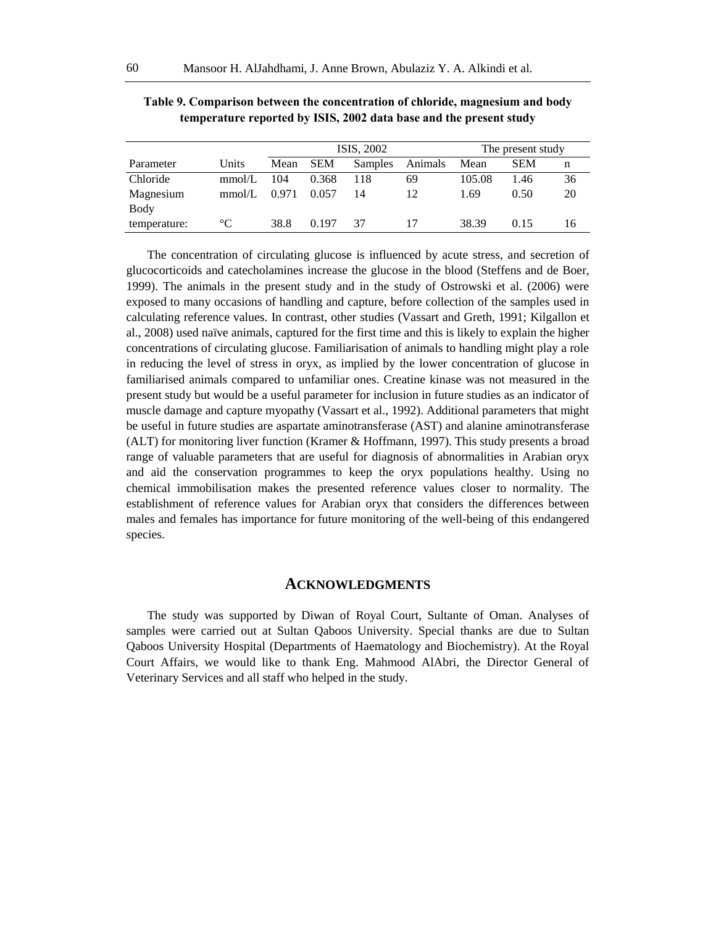|              |                 | ISIS, 2002 |            |         |         | The present study |            |    |
|--------------|-----------------|------------|------------|---------|---------|-------------------|------------|----|
| Parameter    | Units           | Mean       | <b>SEM</b> | Samples | Animals | Mean              | <b>SEM</b> | n  |
| Chloride     | mmol/L          | 104        | 0.368      | 118     | 69      | 105.08            | 1.46       | 36 |
| Magnesium    | mmol/L          | 0.971      | 0.057      | 14      | 12      | 1.69              | 0.50       | 20 |
| Body         |                 |            |            |         |         |                   |            |    |
| temperature: | $\rm ^{\circ}C$ | 38.8       | 0.197      | 37      |         | 38.39             | 0.15       | 16 |

**Table 9. Comparison between the concentration of chloride, magnesium and body temperature reported by ISIS, 2002 data base and the present study**

The concentration of circulating glucose is influenced by acute stress, and secretion of glucocorticoids and catecholamines increase the glucose in the blood (Steffens and de Boer, 1999). The animals in the present study and in the study of Ostrowski et al. (2006) were exposed to many occasions of handling and capture, before collection of the samples used in calculating reference values. In contrast, other studies (Vassart and Greth, 1991; Kilgallon et al., 2008) used naïve animals, captured for the first time and this is likely to explain the higher concentrations of circulating glucose. Familiarisation of animals to handling might play a role in reducing the level of stress in oryx, as implied by the lower concentration of glucose in familiarised animals compared to unfamiliar ones. Creatine kinase was not measured in the present study but would be a useful parameter for inclusion in future studies as an indicator of muscle damage and capture myopathy (Vassart et al., 1992). Additional parameters that might be useful in future studies are aspartate aminotransferase (AST) and alanine aminotransferase (ALT) for monitoring liver function (Kramer & Hoffmann, 1997). This study presents a broad range of valuable parameters that are useful for diagnosis of abnormalities in Arabian oryx and aid the conservation programmes to keep the oryx populations healthy. Using no chemical immobilisation makes the presented reference values closer to normality. The establishment of reference values for Arabian oryx that considers the differences between males and females has importance for future monitoring of the well-being of this endangered species.

#### **ACKNOWLEDGMENTS**

The study was supported by Diwan of Royal Court, Sultante of Oman. Analyses of samples were carried out at Sultan Qaboos University. Special thanks are due to Sultan Qaboos University Hospital (Departments of Haematology and Biochemistry). At the Royal Court Affairs, we would like to thank Eng. Mahmood AlAbri, the Director General of Veterinary Services and all staff who helped in the study.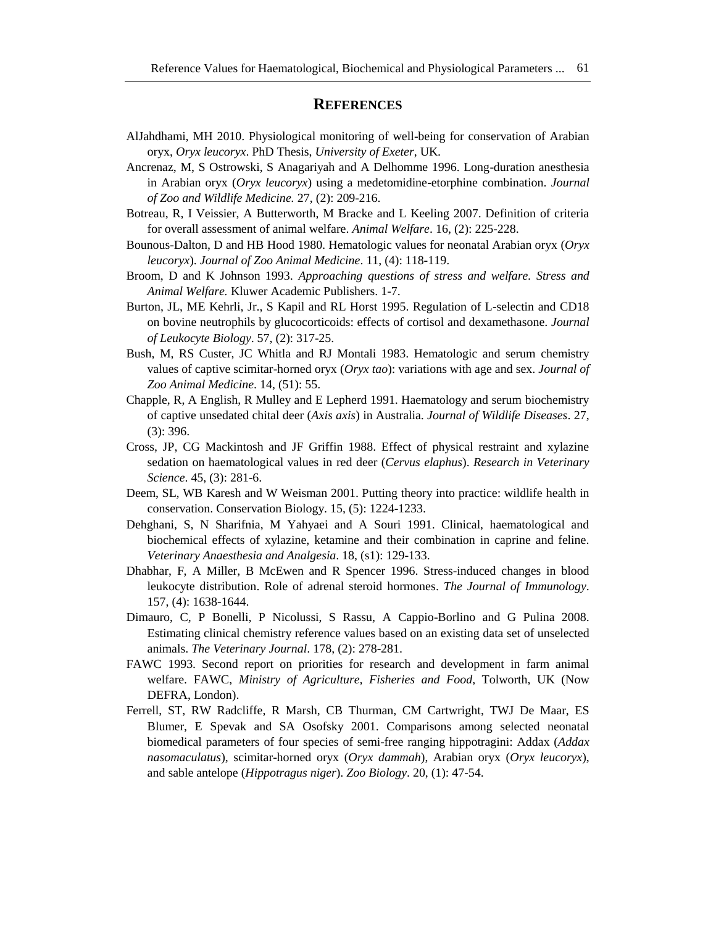#### **REFERENCES**

- AlJahdhami, MH 2010. Physiological monitoring of well-being for conservation of Arabian oryx, *Oryx leucoryx*. PhD Thesis, *University of Exeter*, UK.
- Ancrenaz, M, S Ostrowski, S Anagariyah and A Delhomme 1996. Long-duration anesthesia in Arabian oryx (*Oryx leucoryx*) using a medetomidine-etorphine combination. *Journal of Zoo and Wildlife Medicine.* 27, (2): 209-216.
- Botreau, R, I Veissier, A Butterworth, M Bracke and L Keeling 2007. Definition of criteria for overall assessment of animal welfare. *Animal Welfare*. 16, (2): 225-228.
- Bounous-Dalton, D and HB Hood 1980. Hematologic values for neonatal Arabian oryx (*Oryx leucoryx*). *Journal of Zoo Animal Medicine*. 11, (4): 118-119.
- Broom, D and K Johnson 1993. *Approaching questions of stress and welfare. Stress and Animal Welfare.* Kluwer Academic Publishers. 1-7.
- Burton, JL, ME Kehrli, Jr., S Kapil and RL Horst 1995. Regulation of L-selectin and CD18 on bovine neutrophils by glucocorticoids: effects of cortisol and dexamethasone. *Journal of Leukocyte Biology*. 57, (2): 317-25.
- Bush, M, RS Custer, JC Whitla and RJ Montali 1983. Hematologic and serum chemistry values of captive scimitar-horned oryx (*Oryx tao*): variations with age and sex. *Journal of Zoo Animal Medicine*. 14, (51): 55.
- Chapple, R, A English, R Mulley and E Lepherd 1991. Haematology and serum biochemistry of captive unsedated chital deer (*Axis axis*) in Australia. *Journal of Wildlife Diseases*. 27, (3): 396.
- Cross, JP, CG Mackintosh and JF Griffin 1988. Effect of physical restraint and xylazine sedation on haematological values in red deer (*Cervus elaphus*). *Research in Veterinary Science*. 45, (3): 281-6.
- Deem, SL, WB Karesh and W Weisman 2001. Putting theory into practice: wildlife health in conservation. Conservation Biology. 15, (5): 1224-1233.
- Dehghani, S, N Sharifnia, M Yahyaei and A Souri 1991. Clinical, haematological and biochemical effects of xylazine, ketamine and their combination in caprine and feline. *Veterinary Anaesthesia and Analgesia*. 18, (s1): 129-133.
- Dhabhar, F, A Miller, B McEwen and R Spencer 1996. Stress-induced changes in blood leukocyte distribution. Role of adrenal steroid hormones. *The Journal of Immunology*. 157, (4): 1638-1644.
- Dimauro, C, P Bonelli, P Nicolussi, S Rassu, A Cappio-Borlino and G Pulina 2008. Estimating clinical chemistry reference values based on an existing data set of unselected animals. *The Veterinary Journal*. 178, (2): 278-281.
- FAWC 1993. Second report on priorities for research and development in farm animal welfare. FAWC, *Ministry of Agriculture, Fisheries and Food*, Tolworth, UK (Now DEFRA, London).
- Ferrell, ST, RW Radcliffe, R Marsh, CB Thurman, CM Cartwright, TWJ De Maar, ES Blumer, E Spevak and SA Osofsky 2001. Comparisons among selected neonatal biomedical parameters of four species of semi-free ranging hippotragini: Addax (*Addax nasomaculatus*), scimitar-horned oryx (*Oryx dammah*), Arabian oryx (*Oryx leucoryx*), and sable antelope (*Hippotragus niger*). *Zoo Biology*. 20, (1): 47-54.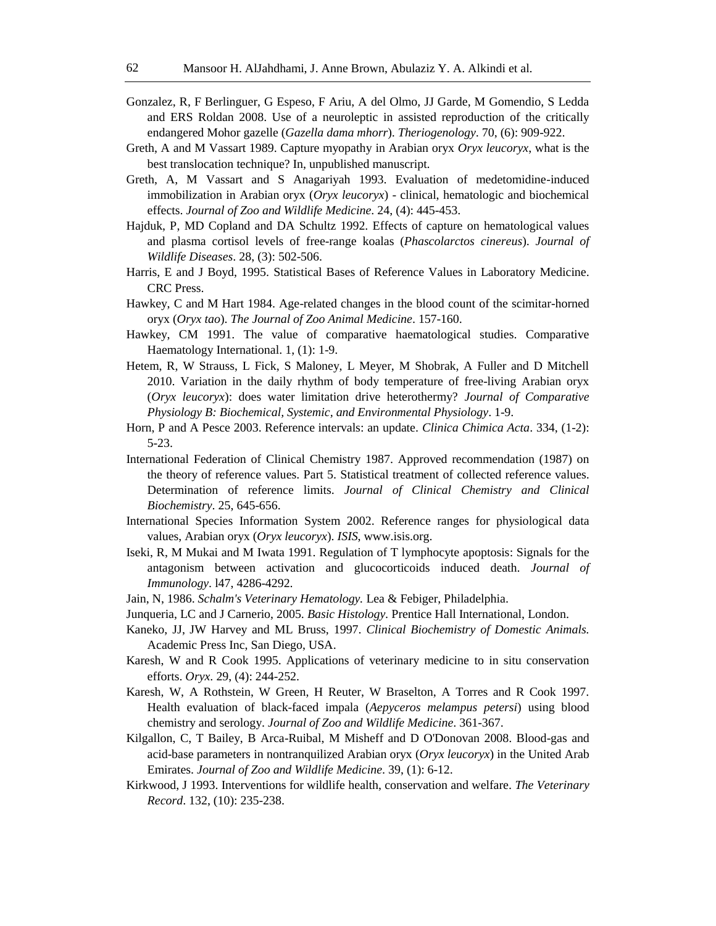- Gonzalez, R, F Berlinguer, G Espeso, F Ariu, A del Olmo, JJ Garde, M Gomendio, S Ledda and ERS Roldan 2008. Use of a neuroleptic in assisted reproduction of the critically endangered Mohor gazelle (*Gazella dama mhorr*). *Theriogenology*. 70, (6): 909-922.
- Greth, A and M Vassart 1989. Capture myopathy in Arabian oryx *Oryx leucoryx*, what is the best translocation technique? In, unpublished manuscript.
- Greth, A, M Vassart and S Anagariyah 1993. Evaluation of medetomidine-induced immobilization in Arabian oryx (*Oryx leucoryx*) - clinical, hematologic and biochemical effects. *Journal of Zoo and Wildlife Medicine*. 24, (4): 445-453.
- Hajduk, P, MD Copland and DA Schultz 1992. Effects of capture on hematological values and plasma cortisol levels of free-range koalas (*Phascolarctos cinereus*). *Journal of Wildlife Diseases*. 28, (3): 502-506.
- Harris, E and J Boyd, 1995. Statistical Bases of Reference Values in Laboratory Medicine. CRC Press.
- Hawkey, C and M Hart 1984. Age-related changes in the blood count of the scimitar-horned oryx (*Oryx tao*). *The Journal of Zoo Animal Medicine*. 157-160.
- Hawkey, CM 1991. The value of comparative haematological studies. Comparative Haematology International. 1, (1): 1-9.
- Hetem, R, W Strauss, L Fick, S Maloney, L Meyer, M Shobrak, A Fuller and D Mitchell 2010. Variation in the daily rhythm of body temperature of free-living Arabian oryx (*Oryx leucoryx*): does water limitation drive heterothermy? *Journal of Comparative Physiology B: Biochemical, Systemic, and Environmental Physiology*. 1-9.
- Horn, P and A Pesce 2003. Reference intervals: an update. *Clinica Chimica Acta*. 334, (1-2): 5-23.
- International Federation of Clinical Chemistry 1987. Approved recommendation (1987) on the theory of reference values. Part 5. Statistical treatment of collected reference values. Determination of reference limits. *Journal of Clinical Chemistry and Clinical Biochemistry*. 25, 645-656.
- International Species Information System 2002. Reference ranges for physiological data values, Arabian oryx (*Oryx leucoryx*). *ISIS*, www.isis.org.
- Iseki, R, M Mukai and M Iwata 1991. Regulation of T lymphocyte apoptosis: Signals for the antagonism between activation and glucocorticoids induced death. *Journal of Immunology*. l47, 4286-4292.
- Jain, N, 1986. *Schalm's Veterinary Hematology.* Lea & Febiger, Philadelphia.
- Junqueria, LC and J Carnerio, 2005. *Basic Histology.* Prentice Hall International, London.
- Kaneko, JJ, JW Harvey and ML Bruss, 1997. *Clinical Biochemistry of Domestic Animals.*  Academic Press Inc, San Diego, USA.
- Karesh, W and R Cook 1995. Applications of veterinary medicine to in situ conservation efforts. *Oryx*. 29, (4): 244-252.
- Karesh, W, A Rothstein, W Green, H Reuter, W Braselton, A Torres and R Cook 1997. Health evaluation of black-faced impala (*Aepyceros melampus petersi*) using blood chemistry and serology. *Journal of Zoo and Wildlife Medicine*. 361-367.
- Kilgallon, C, T Bailey, B Arca-Ruibal, M Misheff and D O'Donovan 2008. Blood-gas and acid-base parameters in nontranquilized Arabian oryx (*Oryx leucoryx*) in the United Arab Emirates. *Journal of Zoo and Wildlife Medicine*. 39, (1): 6-12.
- Kirkwood, J 1993. Interventions for wildlife health, conservation and welfare. *The Veterinary Record*. 132, (10): 235-238.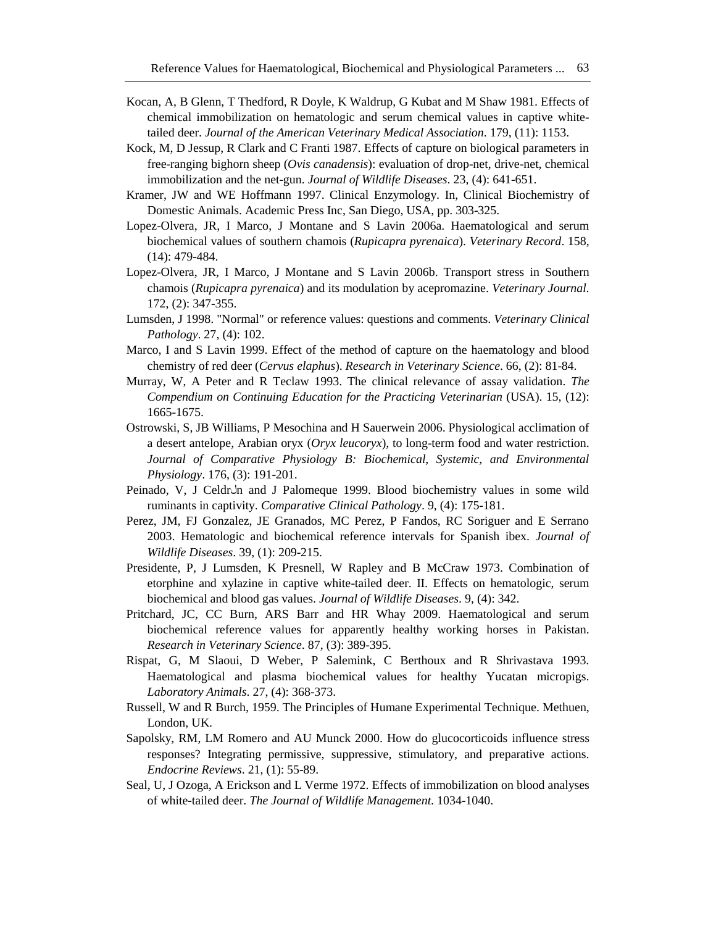- Kocan, A, B Glenn, T Thedford, R Doyle, K Waldrup, G Kubat and M Shaw 1981. Effects of chemical immobilization on hematologic and serum chemical values in captive whitetailed deer. *Journal of the American Veterinary Medical Association*. 179, (11): 1153.
- Kock, M, D Jessup, R Clark and C Franti 1987. Effects of capture on biological parameters in free-ranging bighorn sheep (*Ovis canadensis*): evaluation of drop-net, drive-net, chemical immobilization and the net-gun. *Journal of Wildlife Diseases*. 23, (4): 641-651.
- Kramer, JW and WE Hoffmann 1997. Clinical Enzymology. In, Clinical Biochemistry of Domestic Animals. Academic Press Inc, San Diego, USA, pp. 303-325.
- Lopez-Olvera, JR, I Marco, J Montane and S Lavin 2006a. Haematological and serum biochemical values of southern chamois (*Rupicapra pyrenaica*). *Veterinary Record*. 158, (14): 479-484.
- Lopez-Olvera, JR, I Marco, J Montane and S Lavin 2006b. Transport stress in Southern chamois (*Rupicapra pyrenaica*) and its modulation by acepromazine. *Veterinary Journal*. 172, (2): 347-355.
- Lumsden, J 1998. "Normal" or reference values: questions and comments. *Veterinary Clinical Pathology*. 27, (4): 102.
- Marco, I and S Lavin 1999. Effect of the method of capture on the haematology and blood chemistry of red deer (*Cervus elaphus*). *Research in Veterinary Science*. 66, (2): 81-84.
- Murray, W, A Peter and R Teclaw 1993. The clinical relevance of assay validation. *The Compendium on Continuing Education for the Practicing Veterinarian* (USA). 15, (12): 1665-1675.
- Ostrowski, S, JB Williams, P Mesochina and H Sauerwein 2006. Physiological acclimation of a desert antelope, Arabian oryx (*Oryx leucoryx*), to long-term food and water restriction. *Journal of Comparative Physiology B: Biochemical, Systemic, and Environmental Physiology*. 176, (3): 191-201.
- Peinado, V, J Celdron and J Palomeque 1999. Blood biochemistry values in some wild ruminants in captivity. *Comparative Clinical Pathology*. 9, (4): 175-181.
- Perez, JM, FJ Gonzalez, JE Granados, MC Perez, P Fandos, RC Soriguer and E Serrano 2003. Hematologic and biochemical reference intervals for Spanish ibex. *Journal of Wildlife Diseases*. 39, (1): 209-215.
- Presidente, P, J Lumsden, K Presnell, W Rapley and B McCraw 1973. Combination of etorphine and xylazine in captive white-tailed deer. II. Effects on hematologic, serum biochemical and blood gas values. *Journal of Wildlife Diseases*. 9, (4): 342.
- Pritchard, JC, CC Burn, ARS Barr and HR Whay 2009. Haematological and serum biochemical reference values for apparently healthy working horses in Pakistan. *Research in Veterinary Science*. 87, (3): 389-395.
- Rispat, G, M Slaoui, D Weber, P Salemink, C Berthoux and R Shrivastava 1993. Haematological and plasma biochemical values for healthy Yucatan micropigs. *Laboratory Animals*. 27, (4): 368-373.
- Russell, W and R Burch, 1959. The Principles of Humane Experimental Technique. Methuen, London, UK.
- Sapolsky, RM, LM Romero and AU Munck 2000. How do glucocorticoids influence stress responses? Integrating permissive, suppressive, stimulatory, and preparative actions. *Endocrine Reviews*. 21, (1): 55-89.
- Seal, U, J Ozoga, A Erickson and L Verme 1972. Effects of immobilization on blood analyses of white-tailed deer. *The Journal of Wildlife Management*. 1034-1040.